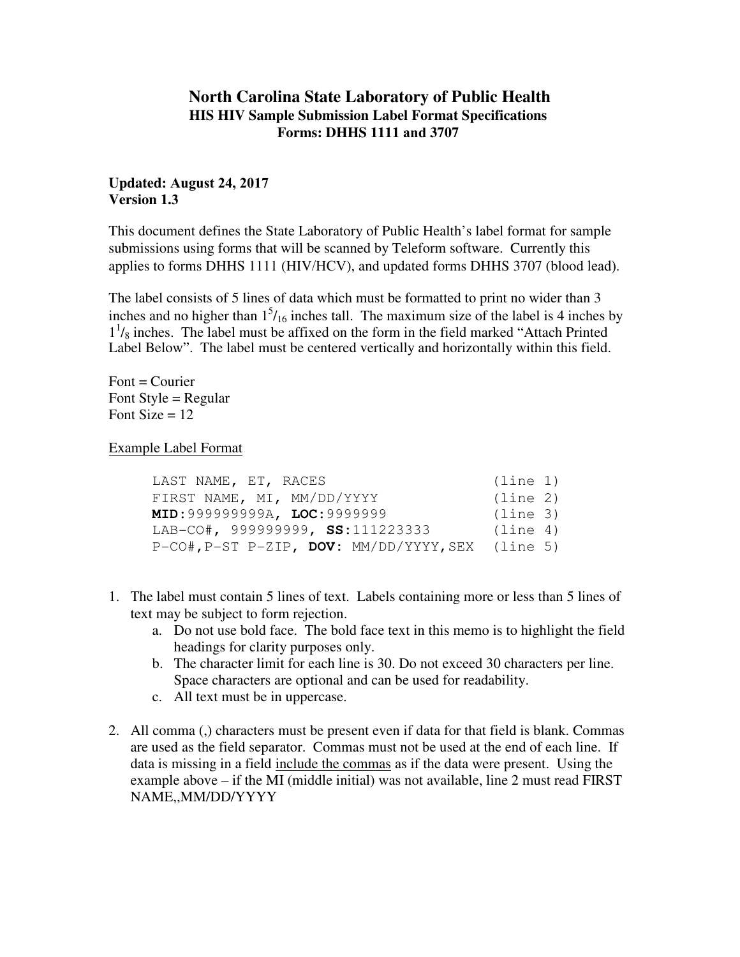# **North Carolina State Laboratory of Public Health HIS HIV Sample Submission Label Format Specifications Forms: DHHS 1111 and 3707**

## **Updated: August 24, 2017 Version 1.3**

This document defines the State Laboratory of Public Health's label format for sample submissions using forms that will be scanned by Teleform software. Currently this applies to forms DHHS 1111 (HIV/HCV), and updated forms DHHS 3707 (blood lead).

The label consists of 5 lines of data which must be formatted to print no wider than 3 inches and no higher than  $1<sup>5</sup>/16$  inches tall. The maximum size of the label is 4 inches by  $1<sup>1</sup>/<sub>8</sub>$  inches. The label must be affixed on the form in the field marked "Attach Printed" Label Below". The label must be centered vertically and horizontally within this field.

 $Font = Conrier$ Font Style  $=$  Regular Font Size  $= 12$ 

Example Label Format

| LAST NAME, ET, RACES                                        | (line 1) |
|-------------------------------------------------------------|----------|
| FIRST NAME, MI, MM/DD/YYYY                                  | (line 2) |
| MID: 999999999A, LOC: 9999999                               | (line 3) |
| LAB-CO#, 999999999, SS:111223333                            | (line 4) |
| $P-CO#$ , $P-ST$ $P-ZIP$ , $DOV: MM/DD/YYYY$ , SEX (line 5) |          |

- 1. The label must contain 5 lines of text. Labels containing more or less than 5 lines of text may be subject to form rejection.
	- a. Do not use bold face. The bold face text in this memo is to highlight the field headings for clarity purposes only.
	- b. The character limit for each line is 30. Do not exceed 30 characters per line. Space characters are optional and can be used for readability.
	- c. All text must be in uppercase.
- 2. All comma (,) characters must be present even if data for that field is blank. Commas are used as the field separator. Commas must not be used at the end of each line. If data is missing in a field include the commas as if the data were present. Using the example above – if the MI (middle initial) was not available, line 2 must read FIRST NAME,,MM/DD/YYYY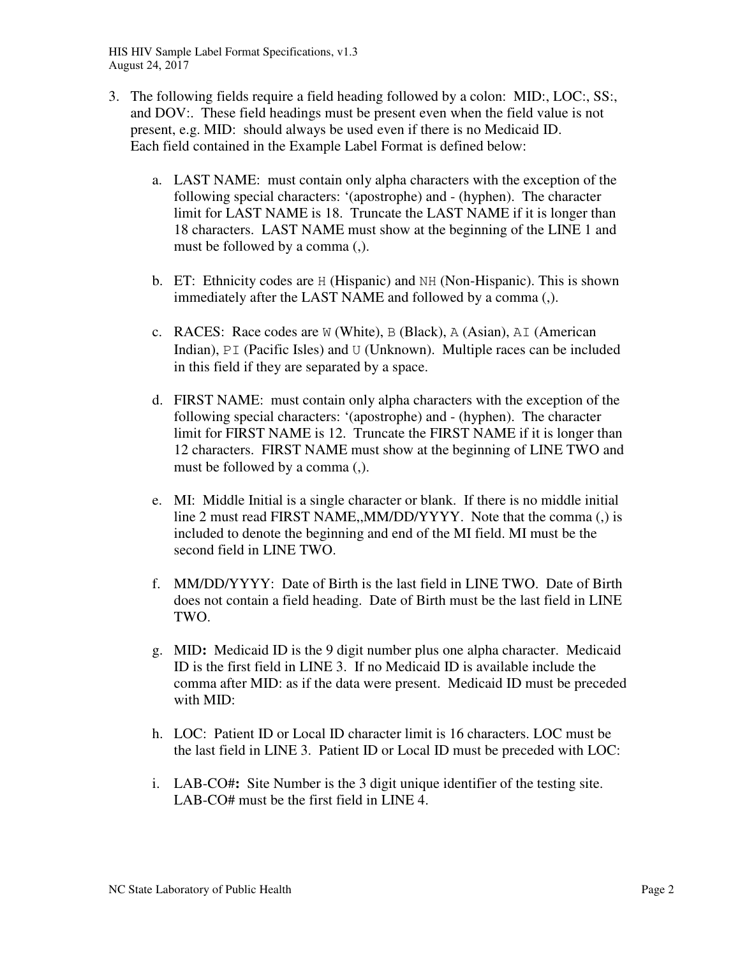HIS HIV Sample Label Format Specifications, v1.3 August 24, 2017

- 3. The following fields require a field heading followed by a colon: MID:, LOC:, SS:, and DOV:. These field headings must be present even when the field value is not present, e.g. MID: should always be used even if there is no Medicaid ID. Each field contained in the Example Label Format is defined below:
	- a. LAST NAME: must contain only alpha characters with the exception of the following special characters: '(apostrophe) and - (hyphen). The character limit for LAST NAME is 18. Truncate the LAST NAME if it is longer than 18 characters. LAST NAME must show at the beginning of the LINE 1 and must be followed by a comma (,).
	- b. ET: Ethnicity codes are H (Hispanic) and NH (Non-Hispanic). This is shown immediately after the LAST NAME and followed by a comma (,).
	- c. RACES: Race codes are W (White), B (Black), A (Asian), AI (American Indian), PI (Pacific Isles) and U (Unknown). Multiple races can be included in this field if they are separated by a space.
	- d. FIRST NAME: must contain only alpha characters with the exception of the following special characters: '(apostrophe) and - (hyphen). The character limit for FIRST NAME is 12. Truncate the FIRST NAME if it is longer than 12 characters. FIRST NAME must show at the beginning of LINE TWO and must be followed by a comma (,).
	- e. MI: Middle Initial is a single character or blank. If there is no middle initial line 2 must read FIRST NAME,,MM/DD/YYYY. Note that the comma (,) is included to denote the beginning and end of the MI field. MI must be the second field in LINE TWO.
	- f. MM/DD/YYYY: Date of Birth is the last field in LINE TWO. Date of Birth does not contain a field heading. Date of Birth must be the last field in LINE TWO.
	- g. MID**:** Medicaid ID is the 9 digit number plus one alpha character. Medicaid ID is the first field in LINE 3. If no Medicaid ID is available include the comma after MID: as if the data were present. Medicaid ID must be preceded with MID:
	- h. LOC: Patient ID or Local ID character limit is 16 characters. LOC must be the last field in LINE 3. Patient ID or Local ID must be preceded with LOC:
	- i. LAB-CO#**:** Site Number is the 3 digit unique identifier of the testing site. LAB-CO# must be the first field in LINE 4.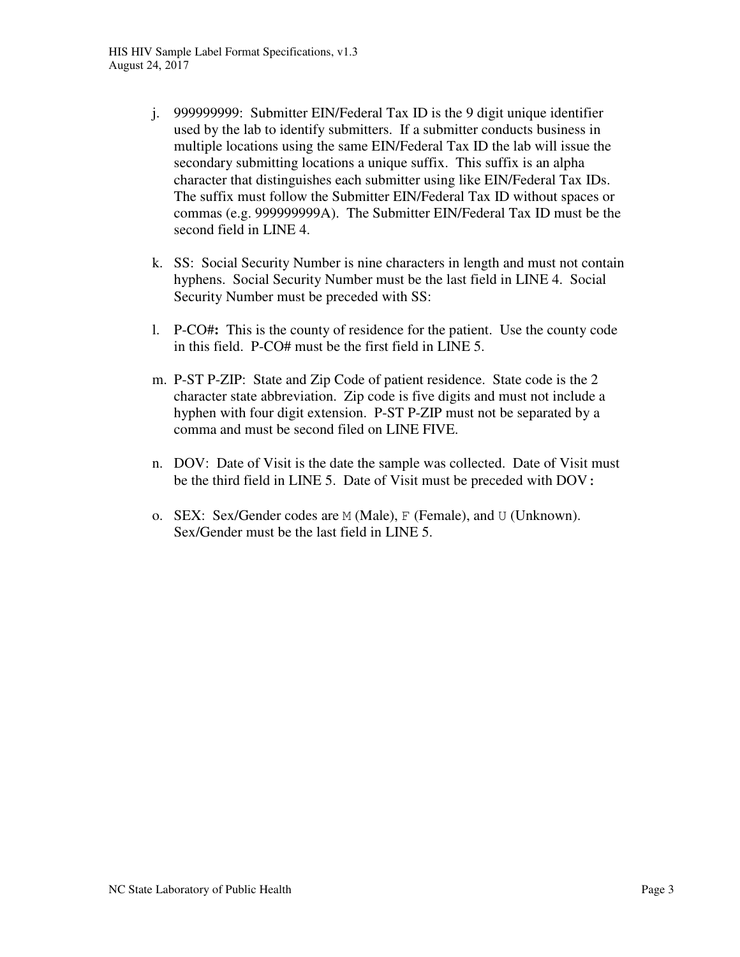- j. 999999999: Submitter EIN/Federal Tax ID is the 9 digit unique identifier used by the lab to identify submitters. If a submitter conducts business in multiple locations using the same EIN/Federal Tax ID the lab will issue the secondary submitting locations a unique suffix. This suffix is an alpha character that distinguishes each submitter using like EIN/Federal Tax IDs. The suffix must follow the Submitter EIN/Federal Tax ID without spaces or commas (e.g. 999999999A). The Submitter EIN/Federal Tax ID must be the second field in LINE 4.
- k. SS: Social Security Number is nine characters in length and must not contain hyphens. Social Security Number must be the last field in LINE 4. Social Security Number must be preceded with SS:
- l. P-CO#**:** This is the county of residence for the patient. Use the county code in this field. P-CO# must be the first field in LINE 5.
- m. P-ST P-ZIP: State and Zip Code of patient residence. State code is the 2 character state abbreviation. Zip code is five digits and must not include a hyphen with four digit extension. P-ST P-ZIP must not be separated by a comma and must be second filed on LINE FIVE.
- n. DOV: Date of Visit is the date the sample was collected. Date of Visit must be the third field in LINE 5. Date of Visit must be preceded with DOV**:**
- o. SEX: Sex/Gender codes are M (Male), F (Female), and U (Unknown). Sex/Gender must be the last field in LINE 5.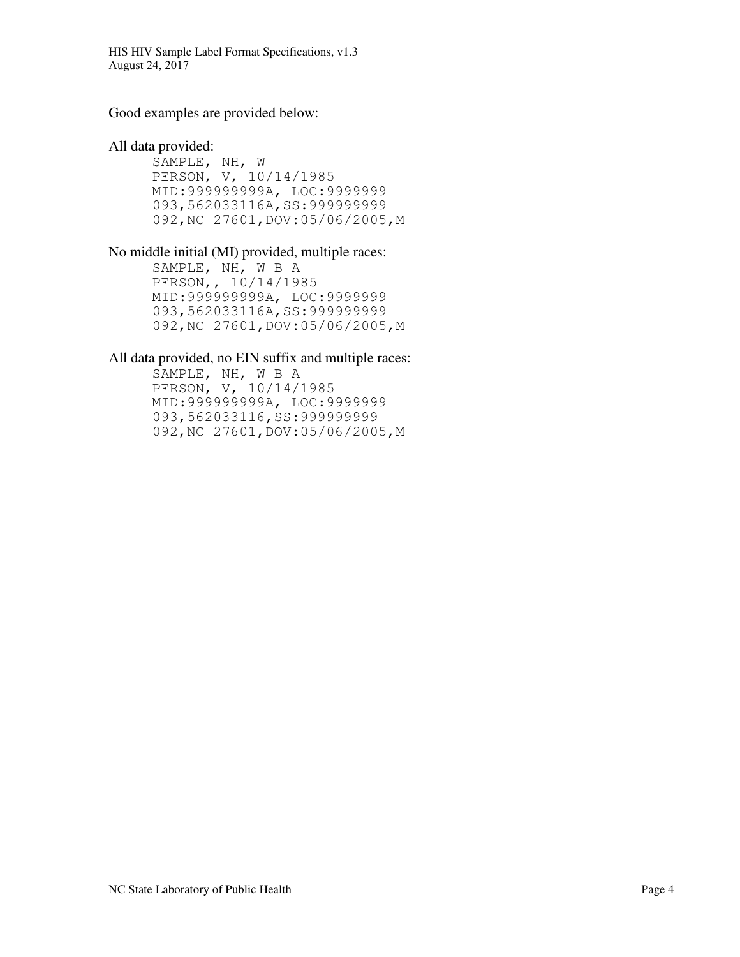HIS HIV Sample Label Format Specifications, v1.3 August 24, 2017

Good examples are provided below:

All data provided:

 SAMPLE, NH, W PERSON, V, 10/14/1985 MID:999999999A, LOC:9999999 093,562033116A,SS:999999999 092,NC 27601,DOV:05/06/2005,M

No middle initial (MI) provided, multiple races:

SAMPLE, NH, W B A PERSON,, 10/14/1985 MID:999999999A, LOC:9999999 093,562033116A,SS:999999999 092,NC 27601,DOV:05/06/2005,M

## All data provided, no EIN suffix and multiple races:

SAMPLE, NH, W B A PERSON, V, 10/14/1985 MID:999999999A, LOC:9999999 093,562033116,SS:9999999999 092,NC 27601,DOV:05/06/2005,M